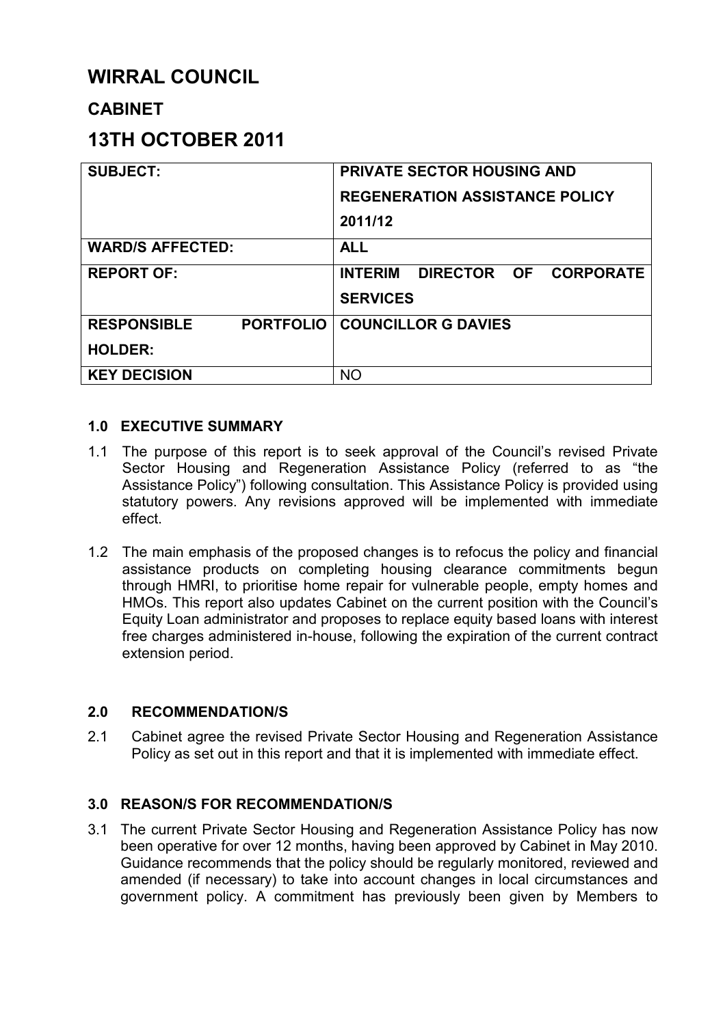# **WIRRAL COUNCIL**

# **CABINET**

# **13TH OCTOBER 2011**

| <b>SUBJECT:</b>                        | <b>PRIVATE SECTOR HOUSING AND</b><br><b>REGENERATION ASSISTANCE POLICY</b><br>2011/12 |
|----------------------------------------|---------------------------------------------------------------------------------------|
| <b>WARD/S AFFECTED:</b>                | <b>ALL</b>                                                                            |
| <b>REPORT OF:</b>                      | <b>INTERIM</b><br>DIRECTOR OF CORPORATE<br><b>SERVICES</b>                            |
| <b>PORTFOLIO</b><br><b>RESPONSIBLE</b> | <b>COUNCILLOR G DAVIES</b>                                                            |
| <b>HOLDER:</b>                         |                                                                                       |
| <b>KEY DECISION</b>                    | <b>NO</b>                                                                             |

## **1.0 EXECUTIVE SUMMARY**

- 1.1 The purpose of this report is to seek approval of the Council's revised Private Sector Housing and Regeneration Assistance Policy (referred to as "the Assistance Policy") following consultation. This Assistance Policy is provided using statutory powers. Any revisions approved will be implemented with immediate effect.
- 1.2 The main emphasis of the proposed changes is to refocus the policy and financial assistance products on completing housing clearance commitments begun through HMRI, to prioritise home repair for vulnerable people, empty homes and HMOs. This report also updates Cabinet on the current position with the Council's Equity Loan administrator and proposes to replace equity based loans with interest free charges administered in-house, following the expiration of the current contract extension period.

## **2.0 RECOMMENDATION/S**

2.1 Cabinet agree the revised Private Sector Housing and Regeneration Assistance Policy as set out in this report and that it is implemented with immediate effect.

## **3.0 REASON/S FOR RECOMMENDATION/S**

3.1 The current Private Sector Housing and Regeneration Assistance Policy has now been operative for over 12 months, having been approved by Cabinet in May 2010. Guidance recommends that the policy should be regularly monitored, reviewed and amended (if necessary) to take into account changes in local circumstances and government policy. A commitment has previously been given by Members to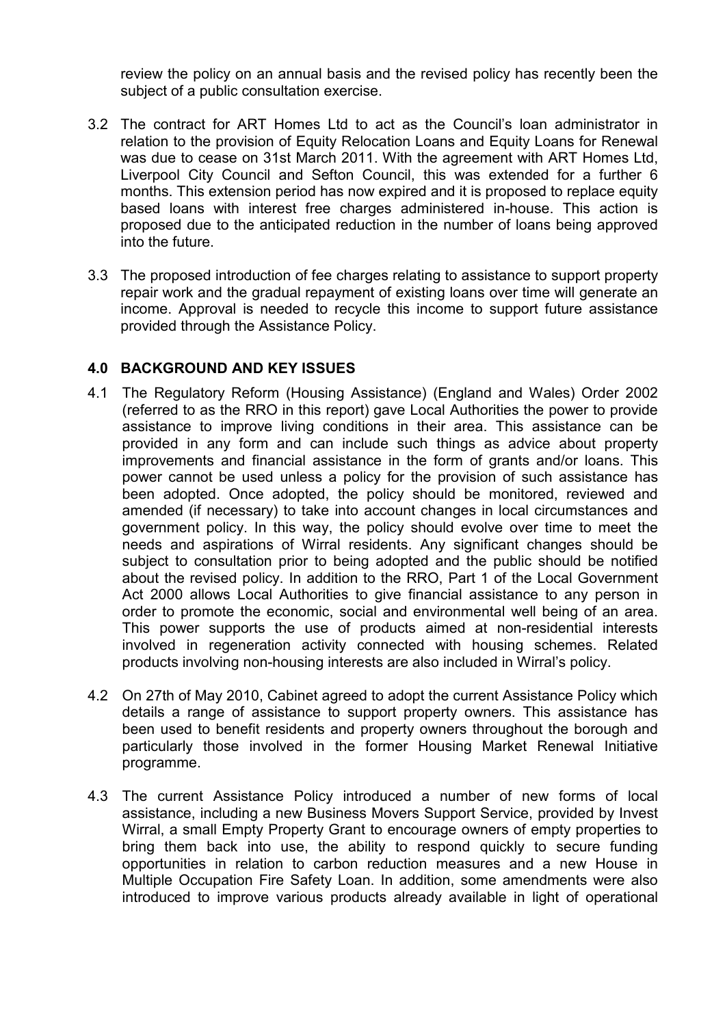review the policy on an annual basis and the revised policy has recently been the subject of a public consultation exercise.

- 3.2 The contract for ART Homes Ltd to act as the Council's loan administrator in relation to the provision of Equity Relocation Loans and Equity Loans for Renewal was due to cease on 31st March 2011. With the agreement with ART Homes Ltd, Liverpool City Council and Sefton Council, this was extended for a further 6 months. This extension period has now expired and it is proposed to replace equity based loans with interest free charges administered in-house. This action is proposed due to the anticipated reduction in the number of loans being approved into the future.
- 3.3 The proposed introduction of fee charges relating to assistance to support property repair work and the gradual repayment of existing loans over time will generate an income. Approval is needed to recycle this income to support future assistance provided through the Assistance Policy.

#### **4.0 BACKGROUND AND KEY ISSUES**

- 4.1 The Regulatory Reform (Housing Assistance) (England and Wales) Order 2002 (referred to as the RRO in this report) gave Local Authorities the power to provide assistance to improve living conditions in their area. This assistance can be provided in any form and can include such things as advice about property improvements and financial assistance in the form of grants and/or loans. This power cannot be used unless a policy for the provision of such assistance has been adopted. Once adopted, the policy should be monitored, reviewed and amended (if necessary) to take into account changes in local circumstances and government policy. In this way, the policy should evolve over time to meet the needs and aspirations of Wirral residents. Any significant changes should be subject to consultation prior to being adopted and the public should be notified about the revised policy. In addition to the RRO, Part 1 of the Local Government Act 2000 allows Local Authorities to give financial assistance to any person in order to promote the economic, social and environmental well being of an area. This power supports the use of products aimed at non-residential interests involved in regeneration activity connected with housing schemes. Related products involving non-housing interests are also included in Wirral's policy.
- 4.2 On 27th of May 2010, Cabinet agreed to adopt the current Assistance Policy which details a range of assistance to support property owners. This assistance has been used to benefit residents and property owners throughout the borough and particularly those involved in the former Housing Market Renewal Initiative programme.
- 4.3 The current Assistance Policy introduced a number of new forms of local assistance, including a new Business Movers Support Service, provided by Invest Wirral, a small Empty Property Grant to encourage owners of empty properties to bring them back into use, the ability to respond quickly to secure funding opportunities in relation to carbon reduction measures and a new House in Multiple Occupation Fire Safety Loan. In addition, some amendments were also introduced to improve various products already available in light of operational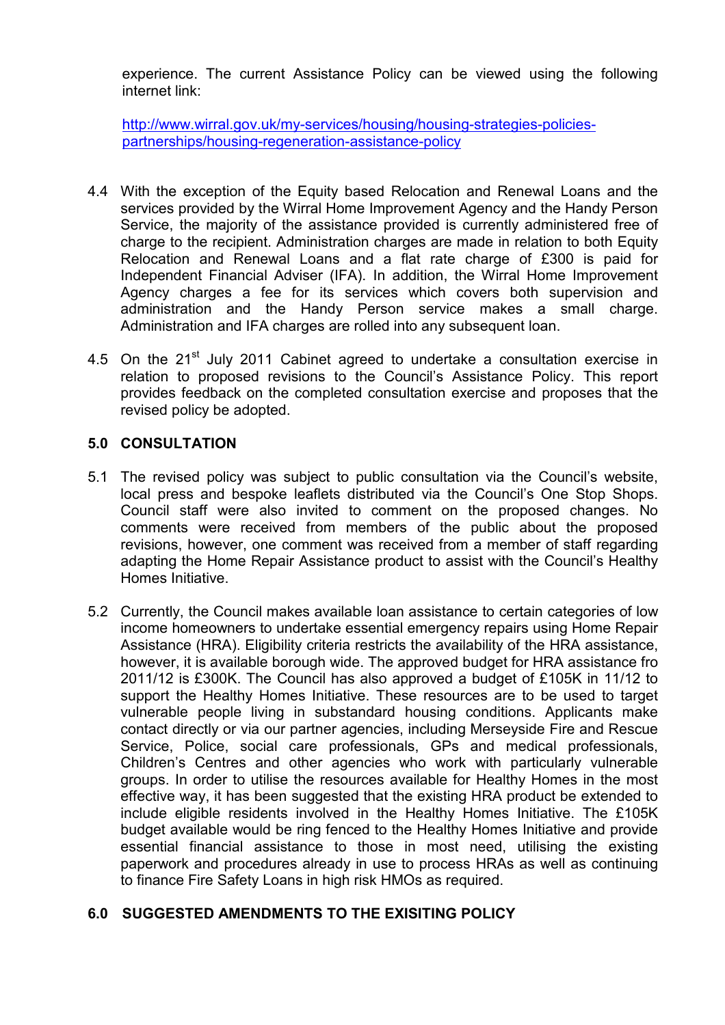experience. The current Assistance Policy can be viewed using the following internet link:

http://www.wirral.gov.uk/my-services/housing/housing-strategies-policiespartnerships/housing-regeneration-assistance-policy

- 4.4 With the exception of the Equity based Relocation and Renewal Loans and the services provided by the Wirral Home Improvement Agency and the Handy Person Service, the majority of the assistance provided is currently administered free of charge to the recipient. Administration charges are made in relation to both Equity Relocation and Renewal Loans and a flat rate charge of £300 is paid for Independent Financial Adviser (IFA). In addition, the Wirral Home Improvement Agency charges a fee for its services which covers both supervision and administration and the Handy Person service makes a small charge. Administration and IFA charges are rolled into any subsequent loan.
- 4.5 On the  $21^{st}$  July 2011 Cabinet agreed to undertake a consultation exercise in relation to proposed revisions to the Council's Assistance Policy. This report provides feedback on the completed consultation exercise and proposes that the revised policy be adopted.

#### **5.0 CONSULTATION**

- 5.1 The revised policy was subject to public consultation via the Council's website, local press and bespoke leaflets distributed via the Council's One Stop Shops. Council staff were also invited to comment on the proposed changes. No comments were received from members of the public about the proposed revisions, however, one comment was received from a member of staff regarding adapting the Home Repair Assistance product to assist with the Council's Healthy Homes Initiative.
- 5.2 Currently, the Council makes available loan assistance to certain categories of low income homeowners to undertake essential emergency repairs using Home Repair Assistance (HRA). Eligibility criteria restricts the availability of the HRA assistance, however, it is available borough wide. The approved budget for HRA assistance fro 2011/12 is £300K. The Council has also approved a budget of £105K in 11/12 to support the Healthy Homes Initiative. These resources are to be used to target vulnerable people living in substandard housing conditions. Applicants make contact directly or via our partner agencies, including Merseyside Fire and Rescue Service, Police, social care professionals, GPs and medical professionals, Children's Centres and other agencies who work with particularly vulnerable groups. In order to utilise the resources available for Healthy Homes in the most effective way, it has been suggested that the existing HRA product be extended to include eligible residents involved in the Healthy Homes Initiative. The £105K budget available would be ring fenced to the Healthy Homes Initiative and provide essential financial assistance to those in most need, utilising the existing paperwork and procedures already in use to process HRAs as well as continuing to finance Fire Safety Loans in high risk HMOs as required.

## **6.0 SUGGESTED AMENDMENTS TO THE EXISITING POLICY**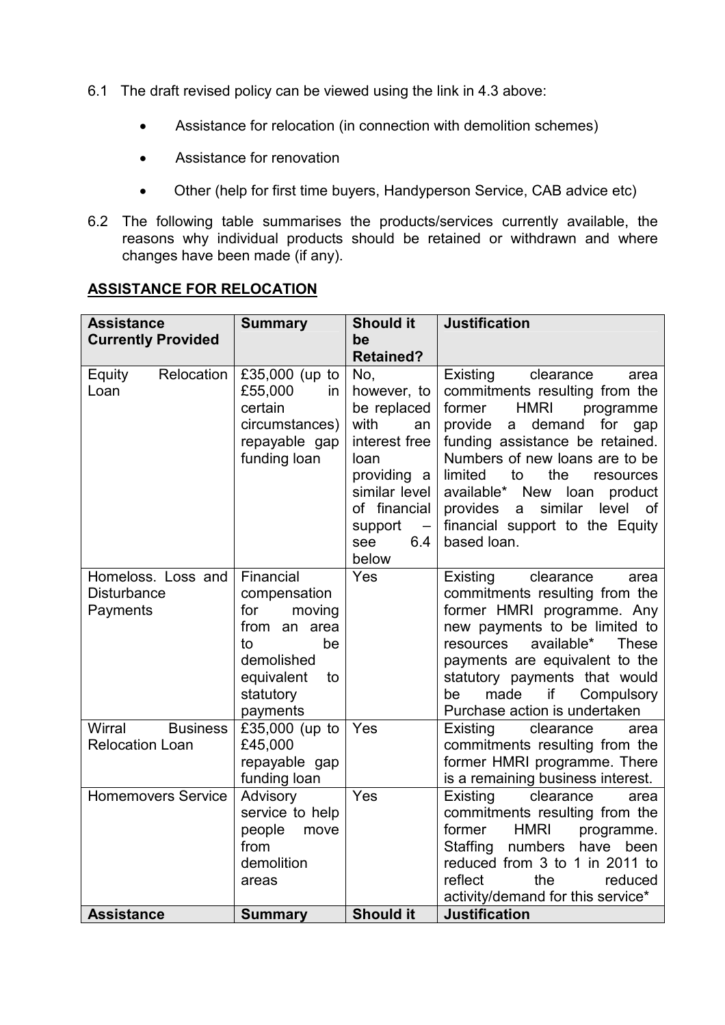- 6.1 The draft revised policy can be viewed using the link in 4.3 above:
	- Assistance for relocation (in connection with demolition schemes)
	- Assistance for renovation
	- Other (help for first time buyers, Handyperson Service, CAB advice etc)
- 6.2 The following table summarises the products/services currently available, the reasons why individual products should be retained or withdrawn and where changes have been made (if any).

| <b>Assistance</b>            | <b>Summary</b>                  | <b>Should it</b>                    | <b>Justification</b>                                            |
|------------------------------|---------------------------------|-------------------------------------|-----------------------------------------------------------------|
| <b>Currently Provided</b>    |                                 | be                                  |                                                                 |
|                              |                                 | <b>Retained?</b>                    |                                                                 |
| Relocation<br>Equity<br>Loan | £35,000 (up to<br>£55,000<br>in | No,<br>however, to                  | Existing<br>clearance<br>area<br>commitments resulting from the |
|                              | certain                         | be replaced                         | <b>HMRI</b><br>former<br>programme                              |
|                              | circumstances)                  | with<br>an                          | provide<br>demand<br>for<br>a<br>gap                            |
|                              | repayable gap                   | interest free                       | funding assistance be retained.                                 |
|                              | funding loan                    | loan                                | Numbers of new loans are to be                                  |
|                              |                                 | providing a                         | limited<br>to<br>the<br>resources                               |
|                              |                                 | similar level                       | available* New loan<br>product                                  |
|                              |                                 | of financial                        | similar<br>provides<br>level<br>a<br>0f                         |
|                              |                                 | support<br>$\overline{\phantom{m}}$ | financial support to the Equity                                 |
|                              |                                 | 6.4<br>see                          | based loan.                                                     |
| Homeloss. Loss and           | Financial                       | below<br>Yes                        | clearance<br>area                                               |
| <b>Disturbance</b>           | compensation                    |                                     | Existing<br>commitments resulting from the                      |
| Payments                     | moving<br>for                   |                                     | former HMRI programme. Any                                      |
|                              | from an area                    |                                     | new payments to be limited to                                   |
|                              | to<br>be                        |                                     | available*<br>resources<br><b>These</b>                         |
|                              | demolished                      |                                     | payments are equivalent to the                                  |
|                              | equivalent<br>to                |                                     | statutory payments that would                                   |
|                              | statutory                       |                                     | made<br><b>if</b><br>Compulsory<br>be                           |
| Wirral<br><b>Business</b>    | payments                        | Yes                                 | Purchase action is undertaken                                   |
| <b>Relocation Loan</b>       | £35,000 (up to<br>£45,000       |                                     | clearance<br>Existing<br>area<br>commitments resulting from the |
|                              | repayable gap                   |                                     | former HMRI programme. There                                    |
|                              | funding loan                    |                                     | is a remaining business interest.                               |
| <b>Homemovers Service</b>    | Advisory                        | Yes                                 | Existing<br>clearance<br>area                                   |
|                              | service to help                 |                                     | commitments resulting from the                                  |
|                              | people<br>move                  |                                     | <b>HMRI</b><br>former<br>programme.                             |
|                              | from                            |                                     | Staffing<br>numbers<br>have<br>been                             |
|                              | demolition                      |                                     | reduced from 3 to 1 in 2011 to                                  |
|                              | areas                           |                                     | reflect<br>the<br>reduced                                       |
| <b>Assistance</b>            |                                 | <b>Should it</b>                    | activity/demand for this service*<br><b>Justification</b>       |
|                              | <b>Summary</b>                  |                                     |                                                                 |

# **ASSISTANCE FOR RELOCATION**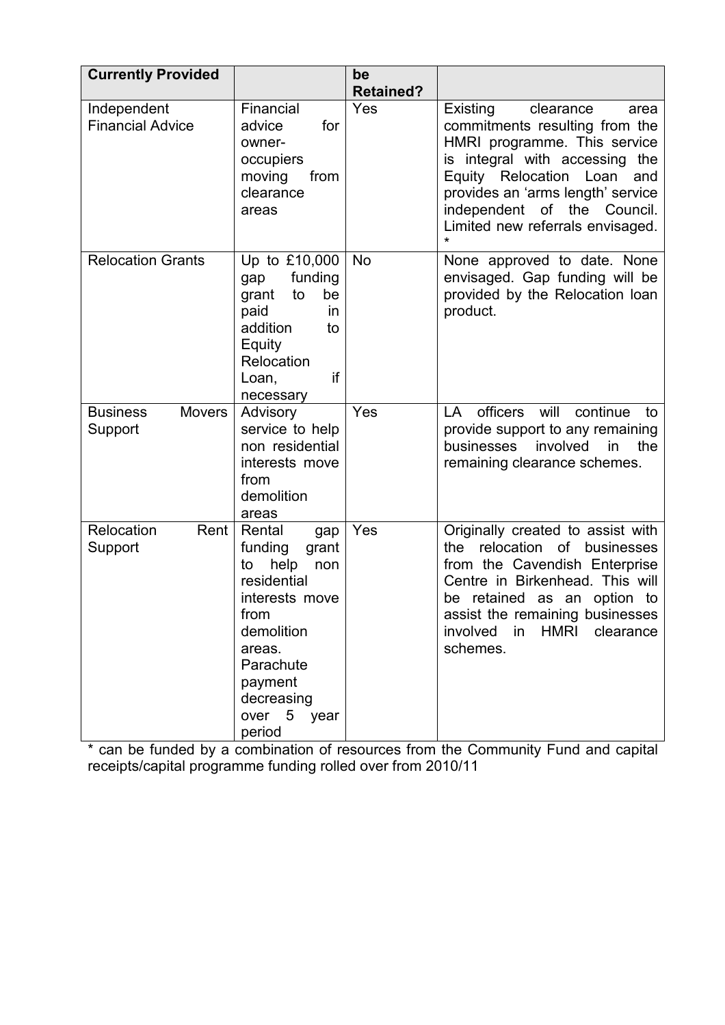| <b>Currently Provided</b>                   |                                                                                                                                                                                           | be<br><b>Retained?</b> |                                                                                                                                                                                                                                                                                             |
|---------------------------------------------|-------------------------------------------------------------------------------------------------------------------------------------------------------------------------------------------|------------------------|---------------------------------------------------------------------------------------------------------------------------------------------------------------------------------------------------------------------------------------------------------------------------------------------|
| Independent<br><b>Financial Advice</b>      | Financial<br>advice<br>for<br>owner-<br>occupiers<br>moving<br>from<br>clearance<br>areas                                                                                                 | Yes                    | Existing<br>clearance<br>area<br>commitments resulting from the<br>HMRI programme. This service<br>is integral with accessing the<br>Equity Relocation<br>Loan<br>and<br>provides an 'arms length' service<br>independent of the<br>Council.<br>Limited new referrals envisaged.<br>$\star$ |
| <b>Relocation Grants</b>                    | Up to £10,000<br>funding<br>gap<br>grant<br>to<br>be<br>paid<br><i>in</i><br>addition<br>to<br>Equity<br>Relocation<br>if<br>Loan,<br>necessary                                           | <b>No</b>              | None approved to date. None<br>envisaged. Gap funding will be<br>provided by the Relocation loan<br>product.                                                                                                                                                                                |
| <b>Business</b><br><b>Movers</b><br>Support | Advisory<br>service to help<br>non residential<br>interests move<br>from<br>demolition<br>areas                                                                                           | Yes                    | officers<br>will<br>continue<br>LA<br>to<br>provide support to any remaining<br>involved<br>the<br>businesses<br>in<br>remaining clearance schemes.                                                                                                                                         |
| Relocation<br>Rent<br>Support               | Rental<br>gap<br>funding<br>grant<br>help<br>non<br>to<br>residential<br>interests move<br>from<br>demolition<br>areas.<br>Parachute<br>payment<br>decreasing<br>over 5<br>year<br>period | Yes                    | Originally created to assist with<br>relocation<br>of<br>businesses<br>the<br>from the Cavendish Enterprise<br>Centre in Birkenhead. This will<br>be retained as an option to<br>assist the remaining businesses<br>involved<br>HMRI<br>in<br>clearance<br>schemes.                         |

\* can be funded by a combination of resources from the Community Fund and capital receipts/capital programme funding rolled over from 2010/11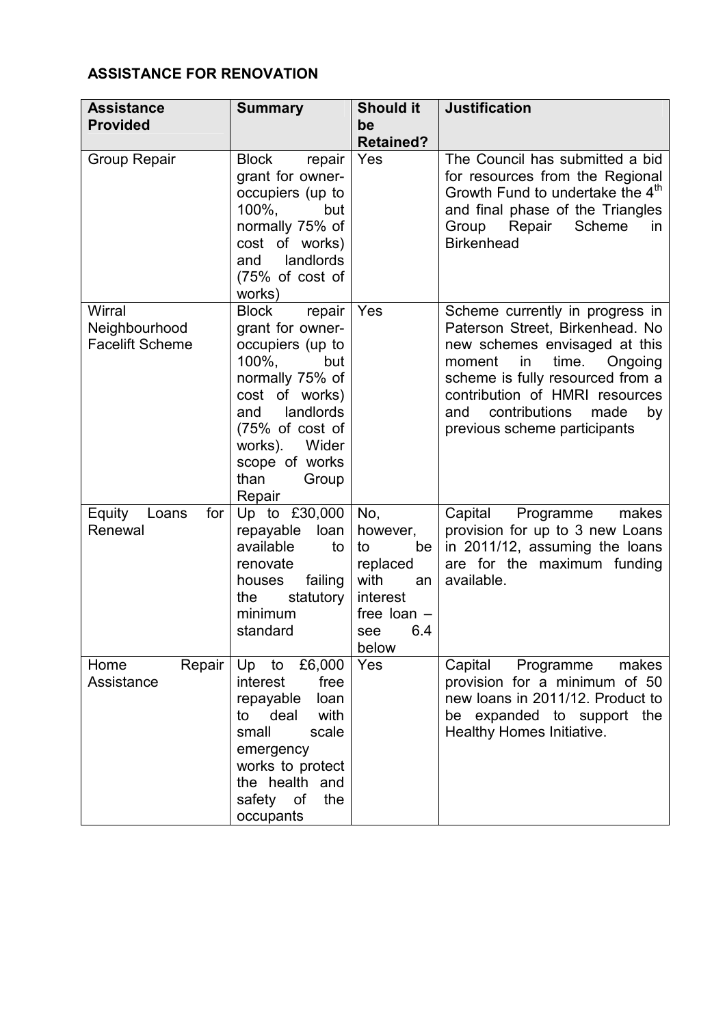# **ASSISTANCE FOR RENOVATION**

| <b>Assistance</b>                                 | <b>Summary</b>                                                                                                                                                                                                                       | <b>Should it</b>                                                                                          | <b>Justification</b>                                                                                                                                                                                                                                                                |
|---------------------------------------------------|--------------------------------------------------------------------------------------------------------------------------------------------------------------------------------------------------------------------------------------|-----------------------------------------------------------------------------------------------------------|-------------------------------------------------------------------------------------------------------------------------------------------------------------------------------------------------------------------------------------------------------------------------------------|
| <b>Provided</b>                                   |                                                                                                                                                                                                                                      | be<br><b>Retained?</b>                                                                                    |                                                                                                                                                                                                                                                                                     |
| <b>Group Repair</b>                               | <b>Block</b><br>repair<br>grant for owner-<br>occupiers (up to<br>$100\%$ ,<br>but<br>normally 75% of<br>cost of works)<br>landlords<br>and<br>$(75%$ of cost of<br>works)                                                           | Yes                                                                                                       | The Council has submitted a bid<br>for resources from the Regional<br>Growth Fund to undertake the 4th<br>and final phase of the Triangles<br>Scheme<br>Group Repair<br>in.<br><b>Birkenhead</b>                                                                                    |
| Wirral<br>Neighbourhood<br><b>Facelift Scheme</b> | <b>Block</b><br>repair<br>grant for owner-<br>occupiers (up to<br>100%.<br>but<br>normally 75% of<br>cost of works)<br>landlords<br>and<br>$(75\% \text{ of cost of})$<br>works). Wider<br>scope of works<br>than<br>Group<br>Repair | Yes                                                                                                       | Scheme currently in progress in<br>Paterson Street, Birkenhead. No<br>new schemes envisaged at this<br>time.<br>moment<br>in<br>Ongoing<br>scheme is fully resourced from a<br>contribution of HMRI resources<br>contributions<br>made<br>and<br>by<br>previous scheme participants |
| Equity<br>for<br>Loans<br>Renewal                 | Up to £30,000<br>repayable<br>loan<br>available<br>to<br>renovate<br>failing<br>houses<br>statutory<br>the<br>minimum<br>standard                                                                                                    | No,<br>however,<br>to<br>be<br>replaced<br>with<br>an<br>interest<br>free loan $-$<br>6.4<br>see<br>below | Capital<br>Programme<br>makes<br>provision for up to 3 new Loans<br>in 2011/12, assuming the loans<br>are for the maximum funding<br>available.                                                                                                                                     |
| Repair<br>Home<br>Assistance                      | Up to $£6,000$<br>interest<br>free<br>loan<br>repayable<br>to deal<br>with<br>small<br>scale<br>emergency<br>works to protect<br>the health and<br>safety of<br>the<br>occupants                                                     | Yes                                                                                                       | Programme<br>Capital<br>makes<br>provision for a minimum of 50<br>new loans in 2011/12. Product to<br>be expanded to support the<br>Healthy Homes Initiative.                                                                                                                       |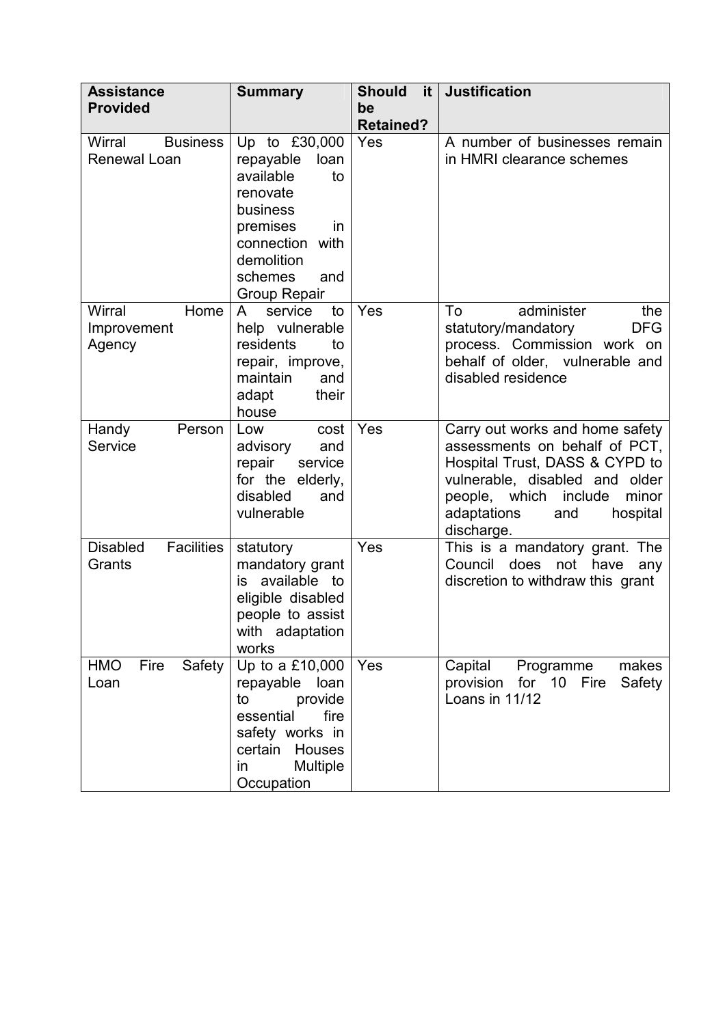| <b>Assistance</b>                                | <b>Summary</b>                                                                                                                                                            | <b>Should</b><br>it. | <b>Justification</b>                                                                                                                                                                |
|--------------------------------------------------|---------------------------------------------------------------------------------------------------------------------------------------------------------------------------|----------------------|-------------------------------------------------------------------------------------------------------------------------------------------------------------------------------------|
| <b>Provided</b>                                  |                                                                                                                                                                           | be                   |                                                                                                                                                                                     |
|                                                  |                                                                                                                                                                           | <b>Retained?</b>     |                                                                                                                                                                                     |
| <b>Business</b><br>Wirral<br><b>Renewal Loan</b> | Up to £30,000<br>repayable<br>loan<br>available<br>to<br>renovate<br>business<br>premises<br>in<br>connection with<br>demolition<br>schemes<br>and<br><b>Group Repair</b> | Yes                  | A number of businesses remain<br>in HMRI clearance schemes                                                                                                                          |
| Home<br>Wirral                                   | $\mathsf{A}$<br>service<br>to                                                                                                                                             | Yes                  | To<br>administer<br>the                                                                                                                                                             |
| Improvement<br>Agency                            | help vulnerable<br>residents<br>to<br>repair, improve,<br>maintain<br>and<br>their<br>adapt<br>house                                                                      |                      | <b>DFG</b><br>statutory/mandatory<br>process. Commission work on<br>behalf of older, vulnerable and<br>disabled residence                                                           |
| Handy<br>Person                                  | Low<br>cost                                                                                                                                                               | Yes                  | Carry out works and home safety                                                                                                                                                     |
| Service                                          | advisory<br>and<br>repair<br>service<br>for the elderly,<br>disabled<br>and<br>vulnerable                                                                                 |                      | assessments on behalf of PCT,<br>Hospital Trust, DASS & CYPD to<br>vulnerable, disabled and older<br>people, which include<br>minor<br>adaptations<br>hospital<br>and<br>discharge. |
| <b>Disabled</b><br><b>Facilities</b><br>Grants   | statutory<br>mandatory grant<br>is available to<br>eligible disabled<br>people to assist<br>with adaptation<br>works                                                      | Yes                  | This is a mandatory grant. The<br>Council<br>does<br>not have<br>any<br>discretion to withdraw this grant                                                                           |
| Safety<br><b>HMO</b><br>Fire<br>Loan             | Up to a £10,000<br>repayable loan<br>provide<br>to<br>essential<br>fire<br>safety works in<br>certain Houses<br>Multiple<br>in.<br>Occupation                             | Yes                  | Capital<br>Programme<br>makes<br>for 10<br>provision<br>Fire<br>Safety<br>Loans in 11/12                                                                                            |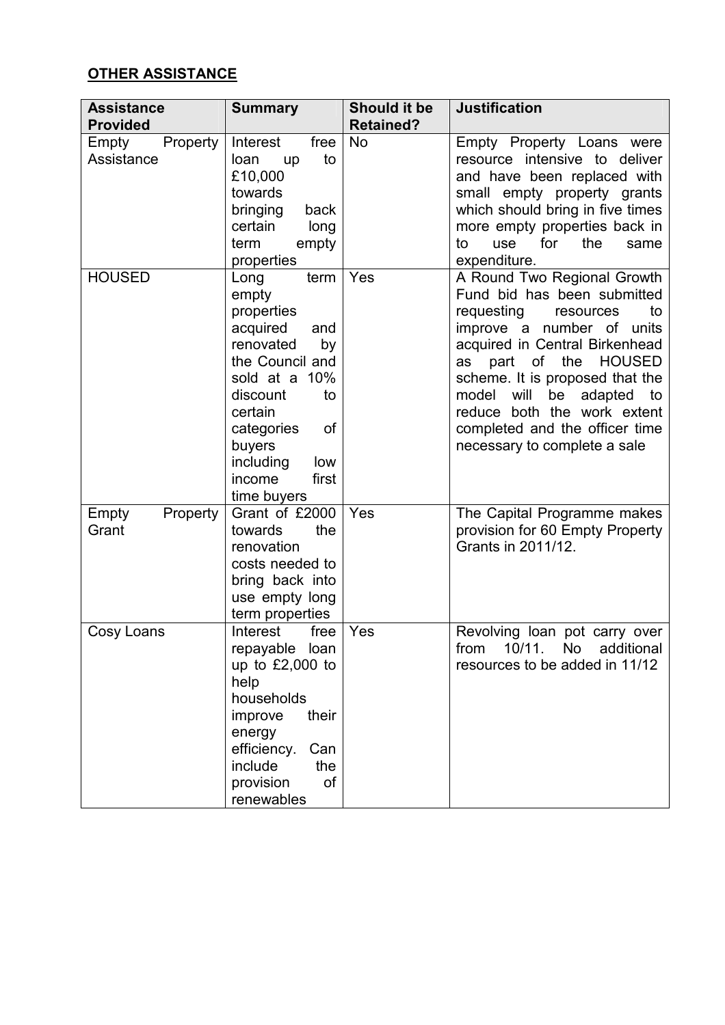# **OTHER ASSISTANCE**

| <b>Assistance</b><br><b>Provided</b> | <b>Summary</b>                                                                                                                                                                                                                 | Should it be<br><b>Retained?</b> | <b>Justification</b>                                                                                                                                                                                                                                                                                                                                                               |
|--------------------------------------|--------------------------------------------------------------------------------------------------------------------------------------------------------------------------------------------------------------------------------|----------------------------------|------------------------------------------------------------------------------------------------------------------------------------------------------------------------------------------------------------------------------------------------------------------------------------------------------------------------------------------------------------------------------------|
| Property<br>Empty<br>Assistance      | Interest<br>free<br>to<br>loan<br>up<br>£10,000<br>towards<br>bringing<br>back<br>certain<br>long<br>empty<br>term<br>properties                                                                                               | <b>No</b>                        | Empty Property Loans were<br>resource intensive to deliver<br>and have been replaced with<br>small empty property grants<br>which should bring in five times<br>more empty properties back in<br>for<br>the<br>to<br>use<br>same<br>expenditure.                                                                                                                                   |
| <b>HOUSED</b>                        | term<br>Long<br>empty<br>properties<br>acquired<br>and<br>renovated<br>by<br>the Council and<br>sold at a 10%<br>discount<br>to<br>certain<br>of<br>categories<br>buyers<br>including<br>low<br>first<br>income<br>time buyers | Yes                              | A Round Two Regional Growth<br>Fund bid has been submitted<br>requesting<br>to<br>resources<br>improve a number of<br>units<br>acquired in Central Birkenhead<br>of<br>the<br><b>HOUSED</b><br>part<br>as<br>scheme. It is proposed that the<br>model<br>will<br>be<br>adapted to<br>reduce both the work extent<br>completed and the officer time<br>necessary to complete a sale |
| Empty<br>Property<br>Grant           | Grant of £2000<br>the<br>towards<br>renovation<br>costs needed to<br>bring back into<br>use empty long<br>term properties                                                                                                      | Yes                              | The Capital Programme makes<br>provision for 60 Empty Property<br>Grants in 2011/12.                                                                                                                                                                                                                                                                                               |
| Cosy Loans                           | Interest<br>free<br>repayable loan<br>up to $£2,000$ to<br>help<br>households<br>improve<br>their<br>energy<br>efficiency.<br>Can<br>include<br>the<br><b>of</b><br>provision<br>renewables                                    | Yes                              | Revolving loan pot carry over<br>from<br>10/11.<br>No<br>additional<br>resources to be added in 11/12                                                                                                                                                                                                                                                                              |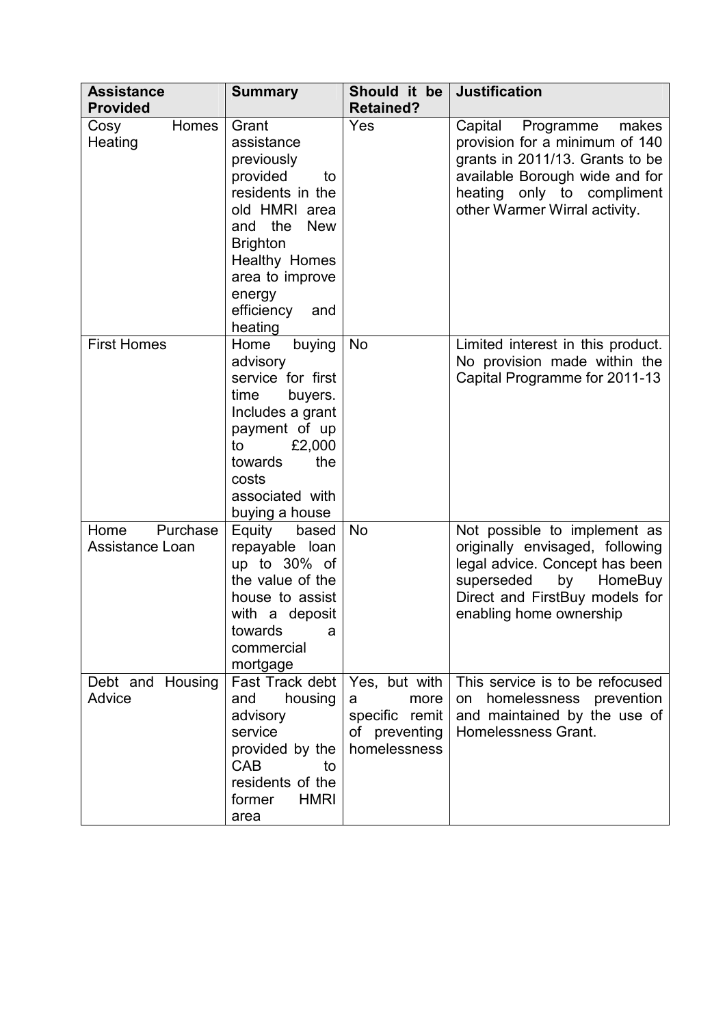| <b>Assistance</b><br><b>Provided</b> | <b>Summary</b>                                                                                                                                                                                                     | Should it be<br><b>Retained?</b>                                              | <b>Justification</b>                                                                                                                                                                                |
|--------------------------------------|--------------------------------------------------------------------------------------------------------------------------------------------------------------------------------------------------------------------|-------------------------------------------------------------------------------|-----------------------------------------------------------------------------------------------------------------------------------------------------------------------------------------------------|
| Homes<br>Cosy<br>Heating             | Grant<br>assistance<br>previously<br>provided<br>to<br>residents in the<br>old HMRI area<br>and the<br><b>New</b><br><b>Brighton</b><br>Healthy Homes<br>area to improve<br>energy<br>efficiency<br>and<br>heating | Yes                                                                           | Capital<br>Programme<br>makes<br>provision for a minimum of 140<br>grants in 2011/13. Grants to be<br>available Borough wide and for<br>heating only to compliment<br>other Warmer Wirral activity. |
| <b>First Homes</b>                   | Home<br>buying<br>advisory<br>service for first<br>time<br>buyers.<br>Includes a grant<br>payment of up<br>£2,000<br>to<br>towards<br>the<br>costs<br>associated with<br>buying a house                            | <b>No</b>                                                                     | Limited interest in this product.<br>No provision made within the<br>Capital Programme for 2011-13                                                                                                  |
| Home Purchase<br>Assistance Loan     | Equity based<br>repayable loan<br>up to 30% of<br>the value of the<br>house to assist<br>with a deposit<br>towards<br>a<br>commercial<br>mortgage                                                                  | <b>No</b>                                                                     | Not possible to implement as<br>originally envisaged, following<br>legal advice. Concept has been<br>superseded by<br>HomeBuy<br>Direct and FirstBuy models for<br>enabling home ownership          |
| Debt and Housing<br>Advice           | Fast Track debt<br>and<br>housing<br>advisory<br>service<br>provided by the<br>CAB<br>to<br>residents of the<br>former<br><b>HMRI</b><br>area                                                                      | Yes, but with<br>more<br>a<br>specific remit<br>of preventing<br>homelessness | This service is to be refocused<br>homelessness prevention<br>on<br>and maintained by the use of<br>Homelessness Grant.                                                                             |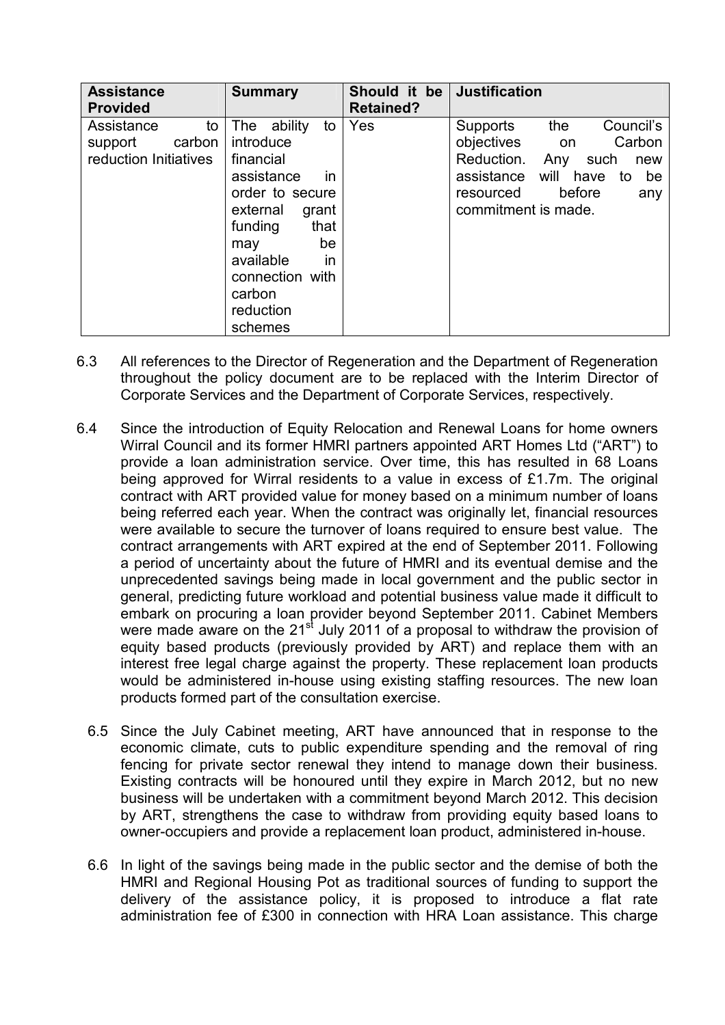| <b>Assistance</b><br><b>Provided</b>                           | <b>Summary</b>                                                                                                                                                                                                            | Should it be<br><b>Retained?</b> | <b>Justification</b>                                                                                                                                                                       |
|----------------------------------------------------------------|---------------------------------------------------------------------------------------------------------------------------------------------------------------------------------------------------------------------------|----------------------------------|--------------------------------------------------------------------------------------------------------------------------------------------------------------------------------------------|
| Assistance<br>to<br>carbon<br>support<br>reduction Initiatives | ability<br>The<br>to<br>introduce<br>financial<br>assistance<br><i>in</i><br>order to secure<br>external<br>grant<br>that<br>funding<br>be<br>may<br>available<br>in<br>connection with<br>carbon<br>reduction<br>schemes | Yes                              | Council's<br>the<br>Supports<br>objectives on<br>Carbon<br>Reduction.<br>Any<br>such<br>new<br>will<br>assistance<br>have<br>be<br>to<br>before<br>resourced<br>any<br>commitment is made. |

- 6.3 All references to the Director of Regeneration and the Department of Regeneration throughout the policy document are to be replaced with the Interim Director of Corporate Services and the Department of Corporate Services, respectively.
- 6.4 Since the introduction of Equity Relocation and Renewal Loans for home owners Wirral Council and its former HMRI partners appointed ART Homes Ltd ("ART") to provide a loan administration service. Over time, this has resulted in 68 Loans being approved for Wirral residents to a value in excess of  $£1.7m$ . The original contract with ART provided value for money based on a minimum number of loans being referred each year. When the contract was originally let, financial resources were available to secure the turnover of loans required to ensure best value. The contract arrangements with ART expired at the end of September 2011. Following a period of uncertainty about the future of HMRI and its eventual demise and the unprecedented savings being made in local government and the public sector in general, predicting future workload and potential business value made it difficult to embark on procuring a loan provider beyond September 2011. Cabinet Members were made aware on the  $21<sup>st</sup>$  July 2011 of a proposal to withdraw the provision of equity based products (previously provided by ART) and replace them with an interest free legal charge against the property. These replacement loan products would be administered in-house using existing staffing resources. The new loan products formed part of the consultation exercise.
	- 6.5 Since the July Cabinet meeting, ART have announced that in response to the economic climate, cuts to public expenditure spending and the removal of ring fencing for private sector renewal they intend to manage down their business. Existing contracts will be honoured until they expire in March 2012, but no new business will be undertaken with a commitment beyond March 2012. This decision by ART, strengthens the case to withdraw from providing equity based loans to owner-occupiers and provide a replacement loan product, administered in-house.
	- 6.6 In light of the savings being made in the public sector and the demise of both the HMRI and Regional Housing Pot as traditional sources of funding to support the delivery of the assistance policy, it is proposed to introduce a flat rate administration fee of £300 in connection with HRA Loan assistance. This charge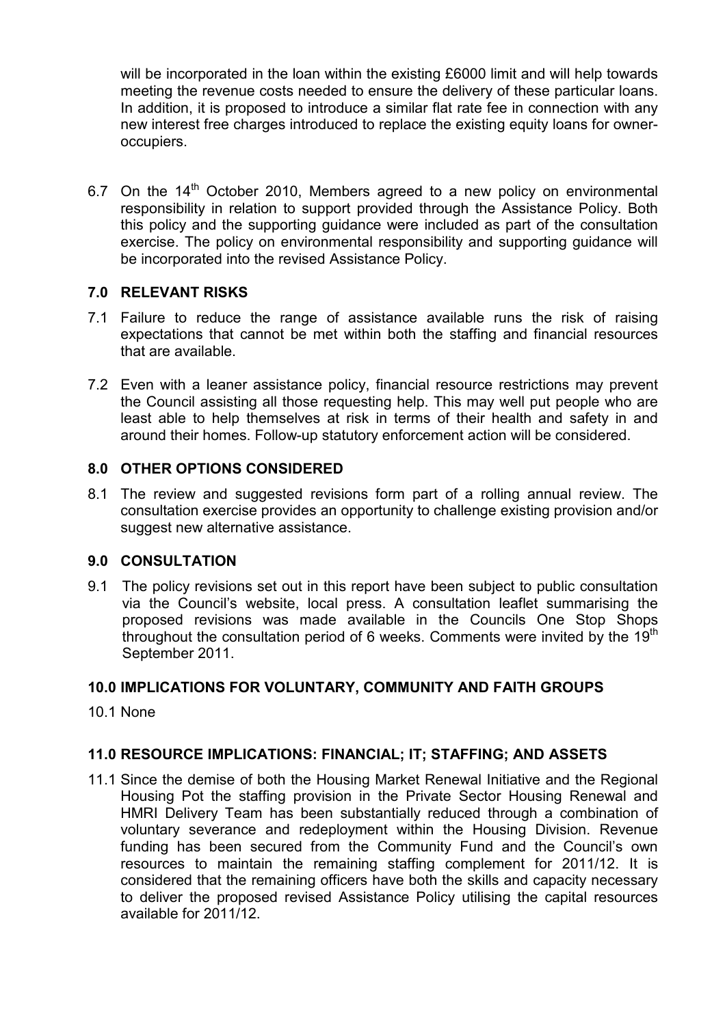will be incorporated in the loan within the existing £6000 limit and will help towards meeting the revenue costs needed to ensure the delivery of these particular loans. In addition, it is proposed to introduce a similar flat rate fee in connection with any new interest free charges introduced to replace the existing equity loans for owneroccupiers.

6.7 On the  $14<sup>th</sup>$  October 2010, Members agreed to a new policy on environmental responsibility in relation to support provided through the Assistance Policy. Both this policy and the supporting guidance were included as part of the consultation exercise. The policy on environmental responsibility and supporting guidance will be incorporated into the revised Assistance Policy.

## **7.0 RELEVANT RISKS**

- 7.1 Failure to reduce the range of assistance available runs the risk of raising expectations that cannot be met within both the staffing and financial resources that are available.
- 7.2 Even with a leaner assistance policy, financial resource restrictions may prevent the Council assisting all those requesting help. This may well put people who are least able to help themselves at risk in terms of their health and safety in and around their homes. Follow-up statutory enforcement action will be considered.

#### **8.0 OTHER OPTIONS CONSIDERED**

8.1 The review and suggested revisions form part of a rolling annual review. The consultation exercise provides an opportunity to challenge existing provision and/or suggest new alternative assistance.

#### **9.0 CONSULTATION**

9.1 The policy revisions set out in this report have been subject to public consultation via the Council's website, local press. A consultation leaflet summarising the proposed revisions was made available in the Councils One Stop Shops throughout the consultation period of 6 weeks. Comments were invited by the  $19<sup>th</sup>$ September 2011.

#### **10.0 IMPLICATIONS FOR VOLUNTARY, COMMUNITY AND FAITH GROUPS**

10.1 None

## **11.0 RESOURCE IMPLICATIONS: FINANCIAL; IT; STAFFING; AND ASSETS**

11.1 Since the demise of both the Housing Market Renewal Initiative and the Regional Housing Pot the staffing provision in the Private Sector Housing Renewal and HMRI Delivery Team has been substantially reduced through a combination of voluntary severance and redeployment within the Housing Division. Revenue funding has been secured from the Community Fund and the Council's own resources to maintain the remaining staffing complement for 2011/12. It is considered that the remaining officers have both the skills and capacity necessary to deliver the proposed revised Assistance Policy utilising the capital resources available for 2011/12.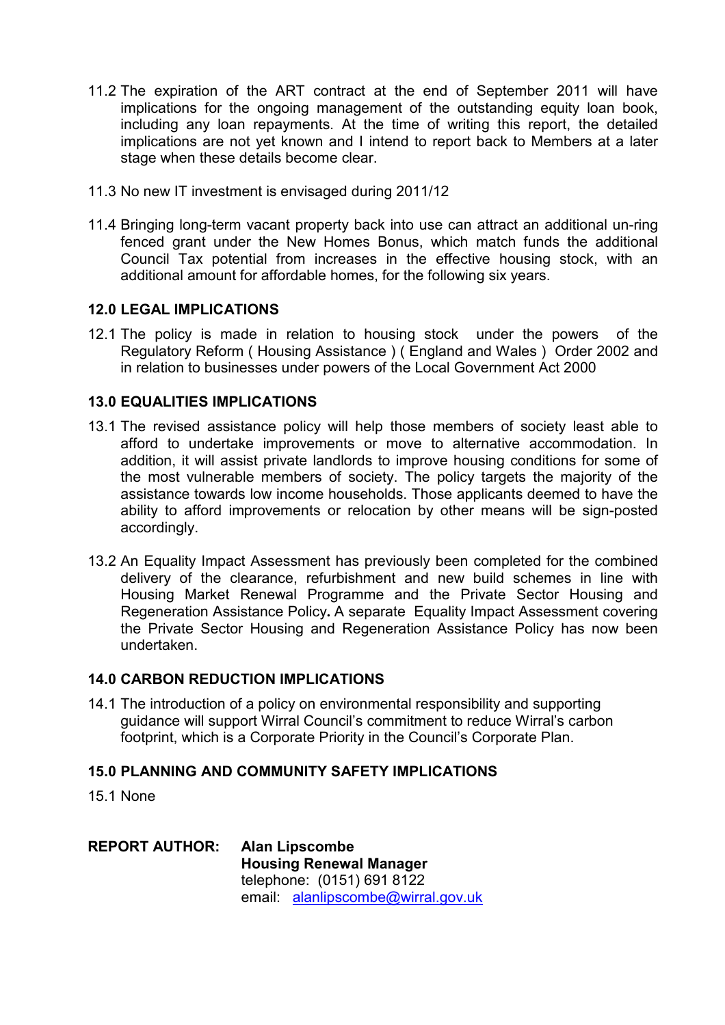- 11.2 The expiration of the ART contract at the end of September 2011 will have implications for the ongoing management of the outstanding equity loan book, including any loan repayments. At the time of writing this report, the detailed implications are not yet known and I intend to report back to Members at a later stage when these details become clear.
- 11.3 No new IT investment is envisaged during 2011/12
- 11.4 Bringing long-term vacant property back into use can attract an additional un-ring fenced grant under the New Homes Bonus, which match funds the additional Council Tax potential from increases in the effective housing stock, with an additional amount for affordable homes, for the following six years.

#### **12.0 LEGAL IMPLICATIONS**

12.1 The policy is made in relation to housing stock under the powers of the Regulatory Reform ( Housing Assistance ) ( England and Wales ) Order 2002 and in relation to businesses under powers of the Local Government Act 2000

#### **13.0 EQUALITIES IMPLICATIONS**

- 13.1 The revised assistance policy will help those members of society least able to afford to undertake improvements or move to alternative accommodation. In addition, it will assist private landlords to improve housing conditions for some of the most vulnerable members of society. The policy targets the majority of the assistance towards low income households. Those applicants deemed to have the ability to afford improvements or relocation by other means will be sign-posted accordingly.
- 13.2 An Equality Impact Assessment has previously been completed for the combined delivery of the clearance, refurbishment and new build schemes in line with Housing Market Renewal Programme and the Private Sector Housing and Regeneration Assistance Policy**.** A separate Equality Impact Assessment covering the Private Sector Housing and Regeneration Assistance Policy has now been undertaken.

#### **14.0 CARBON REDUCTION IMPLICATIONS**

14.1 The introduction of a policy on environmental responsibility and supporting guidance will support Wirral Council's commitment to reduce Wirral's carbon footprint, which is a Corporate Priority in the Council's Corporate Plan.

#### **15.0 PLANNING AND COMMUNITY SAFETY IMPLICATIONS**

15.1 None

**REPORT AUTHOR: Alan Lipscombe Housing Renewal Manager** telephone: (0151) 691 8122 email: alanlipscombe@wirral.gov.uk